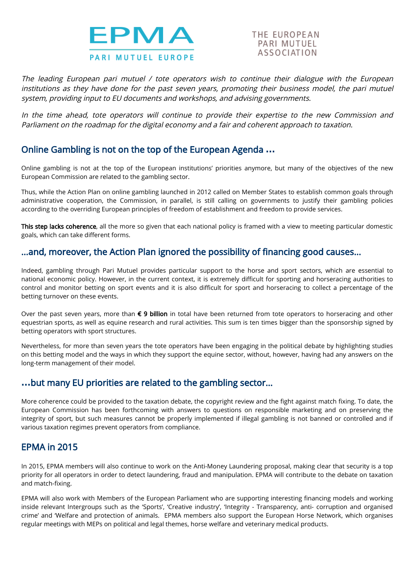

THE EUROPEAN PARI MUTUFI ASSOCIATION

The leading European pari mutuel / tote operators wish to continue their dialogue with the European institutions as they have done for the past seven years, promoting their business model, the pari mutuel system, providing input to EU documents and workshops, and advising governments.

In the time ahead, tote operators will continue to provide their expertise to the new Commission and Parliament on the roadmap for the digital economy and <sup>a</sup> fair and coherent approach to taxation.

## Online Gambling is not on the top of the European Agenda …

Online gambling is not at the top of the European institutions' priorities anymore, but many of the objectives of the new European Commission are related to the gambling sector.

Thus, while the Action Plan on online gambling launched in 2012 called on Member States to establish common goals through administrative cooperation, the Commission, in parallel, is still calling on governments to justify their gambling policies according to the overriding European principles of freedom of establishment and freedom to provide services.

This step lacks coherence, all the more so given that each national policy is framed with a view to meeting particular domestic goals, which can take different forms.

# ...and, moreover, the Action Plan ignored the possibility of financing good causes...

Indeed, gambling through Pari Mutuel provides particular support to the horse and sport sectors, which are essential to national economic policy. However, in the current context, it is extremely difficult for sporting and horseracing authorities to control and monitor betting on sport events and it is also difficult for sport and horseracing to collect a percentage of the betting turnover on these events.

Over the past seven years, more than € 9 billion in total have been returned from tote operators to horseracing and other equestrian sports, as well as equine research and rural activities. This sum is ten times bigger than the sponsorship signed by betting operators with sport structures.

Nevertheless, for more than seven years the tote operators have been engaging in the political debate by highlighting studies on this betting model and the ways in which they support the equine sector, without, however, having had any answers on the long-term management of their model.

## …but many EU priorities are related to the gambling sector...

More coherence could be provided to the taxation debate, the copyright review and the fight against match fixing. To date, the European Commission has been forthcoming with answers to questions on responsible marketing and on preserving the integrity of sport, but such measures cannot be properly implemented if illegal gambling is not banned or controlled and if various taxation regimes prevent operators from compliance.

# EPMA in 2015

In 2015, EPMA members will also continue to work on the Anti-Money Laundering proposal, making clear that security is a top priority for all operators in order to detect laundering, fraud and manipulation. EPMA will contribute to the debate on taxation and match-fixing.

EPMA will also work with Members of the European Parliament who are supporting interesting financing models and working inside relevant Intergroups such as the 'Sports', 'Creative industry', 'Integrity - Transparency, anti- corruption and organised crime' and 'Welfare and protection of animals. EPMA members also support the European Horse Network, which organises regular meetings with MEPs on political and legal themes, horse welfare and veterinary medical products.